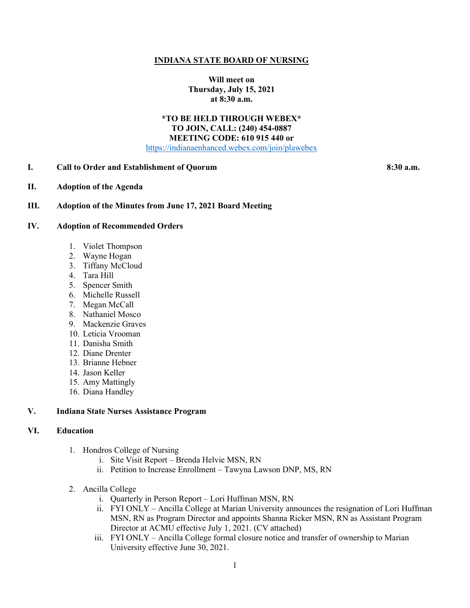#### **INDIANA STATE BOARD OF NURSING**

**Will meet on Thursday, July 15, 2021 at 8:30 a.m.**

# **\*TO BE HELD THROUGH WEBEX\* TO JOIN, CALL: (240) 454-0887 MEETING CODE: 610 915 440 or**

[https://indianaenhanced.webex.com/join/plawebex](https://indianaenhanced.webex.com/join/PLAWebex)

## **I. Call to Order and Establishment of Quorum 8:30 a.m.**

**II. Adoption of the Agenda**

#### **III. Adoption of the Minutes from June 17, 2021 Board Meeting**

# **IV. Adoption of Recommended Orders**

- 1. Violet Thompson
- 2. Wayne Hogan
- 3. Tiffany McCloud
- 4. Tara Hill
- 5. Spencer Smith
- 6. Michelle Russell
- 7. Megan McCall
- 8. Nathaniel Mosco
- 9. Mackenzie Graves
- 10. Leticia Vrooman
- 11. Danisha Smith
- 12. Diane Drenter
- 13. Brianne Hebner
- 14. Jason Keller
- 15. Amy Mattingly
- 16. Diana Handley

## **V. Indiana State Nurses Assistance Program**

# **VI. Education**

- 1. Hondros College of Nursing
	- i. Site Visit Report Brenda Helvie MSN, RN
	- ii. Petition to Increase Enrollment Tawyna Lawson DNP, MS, RN
- 2. Ancilla College
	- i. Quarterly in Person Report Lori Huffman MSN, RN
	- ii. FYI ONLY Ancilla College at Marian University announces the resignation of Lori Huffman MSN, RN as Program Director and appoints Shanna Ricker MSN, RN as Assistant Program Director at ACMU effective July 1, 2021. (CV attached)
	- iii. FYI ONLY Ancilla College formal closure notice and transfer of ownership to Marian University effective June 30, 2021.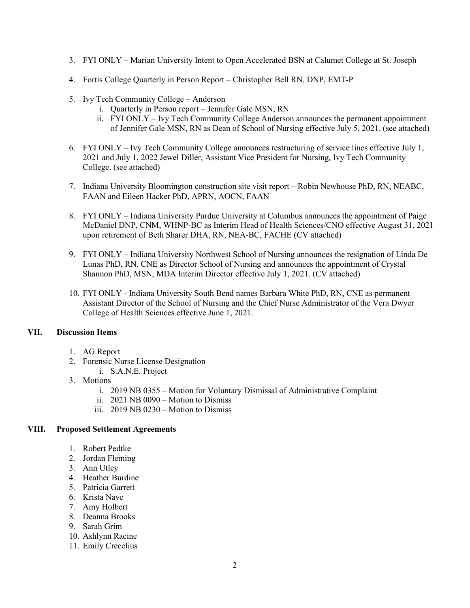- 3. FYI ONLY Marian University Intent to Open Accelerated BSN at Calumet College at St. Joseph
- 4. Fortis College Quarterly in Person Report Christopher Bell RN, DNP, EMT-P
- 5. Ivy Tech Community College Anderson
	- i. Quarterly in Person report Jennifer Gale MSN, RN
	- ii. FYI ONLY Ivy Tech Community College Anderson announces the permanent appointment of Jennifer Gale MSN, RN as Dean of School of Nursing effective July 5, 2021. (see attached)
- 6. FYI ONLY Ivy Tech Community College announces restructuring of service lines effective July 1, 2021 and July 1, 2022 Jewel Diller, Assistant Vice President for Nursing, Ivy Tech Community College. (see attached)
- 7. Indiana University Bloomington construction site visit report Robin Newhouse PhD, RN, NEABC, FAAN and Eileen Hacker PhD, APRN, AOCN, FAAN
- 8. FYI ONLY Indiana University Purdue University at Columbus announces the appointment of Paige McDaniel DNP, CNM, WHNP-BC as Interim Head of Health Sciences/CNO effective August 31, 2021 upon retirement of Beth Sharer DHA, RN, NEA-BC, FACHE (CV attached)
- 9. FYI ONLY Indiana University Northwest School of Nursing announces the resignation of Linda De Lunas PhD, RN, CNE as Director School of Nursing and announces the appointment of Crystal Shannon PhD, MSN, MDA Interim Director effective July 1, 2021. (CV attached)
- 10. FYI ONLY Indiana University South Bend names Barbara White PhD, RN, CNE as permanent Assistant Director of the School of Nursing and the Chief Nurse Administrator of the Vera Dwyer College of Health Sciences effective June 1, 2021.

# **VII. Discussion Items**

- 1. AG Report
- 2. Forensic Nurse License Designation
	- i. S.A.N.E. Project
- 3. Motions
	- i. 2019 NB 0355 Motion for Voluntary Dismissal of Administrative Complaint
	- ii. 2021 NB 0090 Motion to Dismiss
	- iii. 2019 NB 0230 Motion to Dismiss

## **VIII. Proposed Settlement Agreements**

- 1. Robert Pedtke
- 2. Jordan Fleming
- 3. Ann Utley
- 4. Heather Burdine
- 5. Patricia Garrett
- 6. Krista Nave
- 7. Amy Holbert
- 8. Deanna Brooks
- 9. Sarah Grim
- 10. Ashlynn Racine
- 11. Emily Crecelius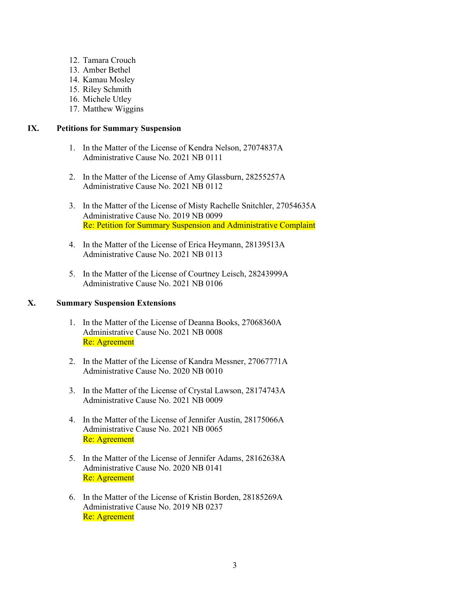- 12. Tamara Crouch
- 13. Amber Bethel
- 14. Kamau Mosley
- 15. Riley Schmith
- 16. Michele Utley
- 17. Matthew Wiggins

## **IX. Petitions for Summary Suspension**

- 1. In the Matter of the License of Kendra Nelson, 27074837A Administrative Cause No. 2021 NB 0111
- 2. In the Matter of the License of Amy Glassburn, 28255257A Administrative Cause No. 2021 NB 0112
- 3. In the Matter of the License of Misty Rachelle Snitchler, 27054635A Administrative Cause No. 2019 NB 0099 Re: Petition for Summary Suspension and Administrative Complaint
- 4. In the Matter of the License of Erica Heymann, 28139513A Administrative Cause No. 2021 NB 0113
- 5. In the Matter of the License of Courtney Leisch, 28243999A Administrative Cause No. 2021 NB 0106

## **X. Summary Suspension Extensions**

- 1. In the Matter of the License of Deanna Books, 27068360A Administrative Cause No. 2021 NB 0008 Re: Agreement
- 2. In the Matter of the License of Kandra Messner, 27067771A Administrative Cause No. 2020 NB 0010
- 3. In the Matter of the License of Crystal Lawson, 28174743A Administrative Cause No. 2021 NB 0009
- 4. In the Matter of the License of Jennifer Austin, 28175066A Administrative Cause No. 2021 NB 0065 Re: Agreement
- 5. In the Matter of the License of Jennifer Adams, 28162638A Administrative Cause No. 2020 NB 0141 Re: Agreement
- 6. In the Matter of the License of Kristin Borden, 28185269A Administrative Cause No. 2019 NB 0237 Re: Agreement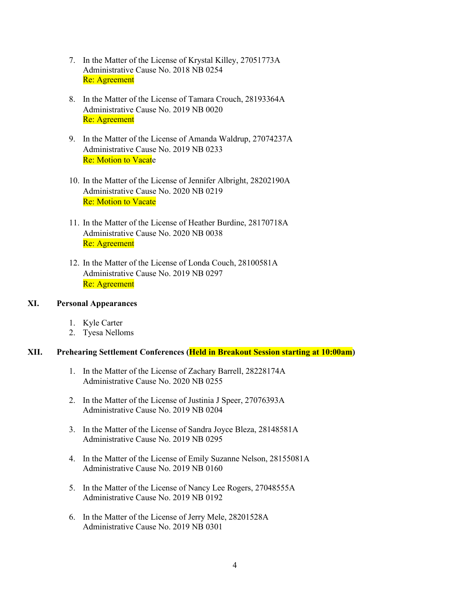- 7. In the Matter of the License of Krystal Killey, 27051773A Administrative Cause No. 2018 NB 0254 Re: Agreement
- 8. In the Matter of the License of Tamara Crouch, 28193364A Administrative Cause No. 2019 NB 0020 Re: Agreement
- 9. In the Matter of the License of Amanda Waldrup, 27074237A Administrative Cause No. 2019 NB 0233 **Re: Motion to Vacate**
- 10. In the Matter of the License of Jennifer Albright, 28202190A Administrative Cause No. 2020 NB 0219 Re: Motion to Vacate
- 11. In the Matter of the License of Heather Burdine, 28170718A Administrative Cause No. 2020 NB 0038 Re: Agreement
- 12. In the Matter of the License of Londa Couch, 28100581A Administrative Cause No. 2019 NB 0297 Re: Agreement

# **XI. Personal Appearances**

- 1. Kyle Carter
- 2. Tyesa Nelloms

## **XII. Prehearing Settlement Conferences (Held in Breakout Session starting at 10:00am)**

- 1. In the Matter of the License of Zachary Barrell, 28228174A Administrative Cause No. 2020 NB 0255
- 2. In the Matter of the License of Justinia J Speer, 27076393A Administrative Cause No. 2019 NB 0204
- 3. In the Matter of the License of Sandra Joyce Bleza, 28148581A Administrative Cause No. 2019 NB 0295
- 4. In the Matter of the License of Emily Suzanne Nelson, 28155081A Administrative Cause No. 2019 NB 0160
- 5. In the Matter of the License of Nancy Lee Rogers, 27048555A Administrative Cause No. 2019 NB 0192
- 6. In the Matter of the License of Jerry Mele, 28201528A Administrative Cause No. 2019 NB 0301